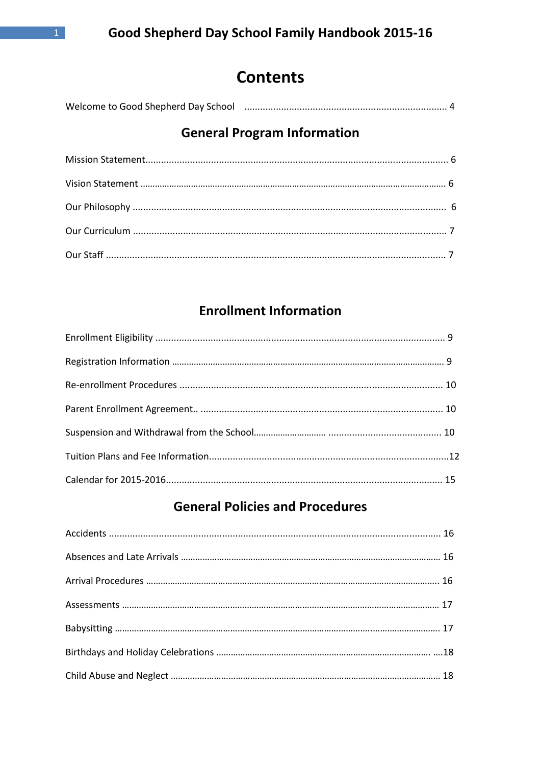# **Contents**

| Welcome to Good Shepherd Day School |  |  |
|-------------------------------------|--|--|
|-------------------------------------|--|--|

# **General Program Information**

# **Enrollment Information**

# **General Policies and Procedures**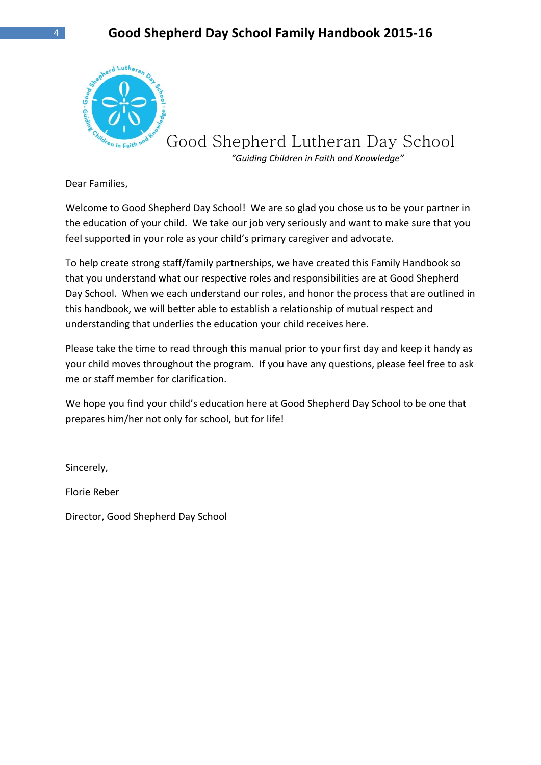

Good Shepherd Lutheran Day School

 *"Guiding Children in Faith and Knowledge"*

Dear Families,

Welcome to Good Shepherd Day School! We are so glad you chose us to be your partner in the education of your child. We take our job very seriously and want to make sure that you feel supported in your role as your child's primary caregiver and advocate.

To help create strong staff/family partnerships, we have created this Family Handbook so that you understand what our respective roles and responsibilities are at Good Shepherd Day School. When we each understand our roles, and honor the process that are outlined in this handbook, we will better able to establish a relationship of mutual respect and understanding that underlies the education your child receives here.

Please take the time to read through this manual prior to your first day and keep it handy as your child moves throughout the program. If you have any questions, please feel free to ask me or staff member for clarification.

We hope you find your child's education here at Good Shepherd Day School to be one that prepares him/her not only for school, but for life!

Sincerely,

Florie Reber

Director, Good Shepherd Day School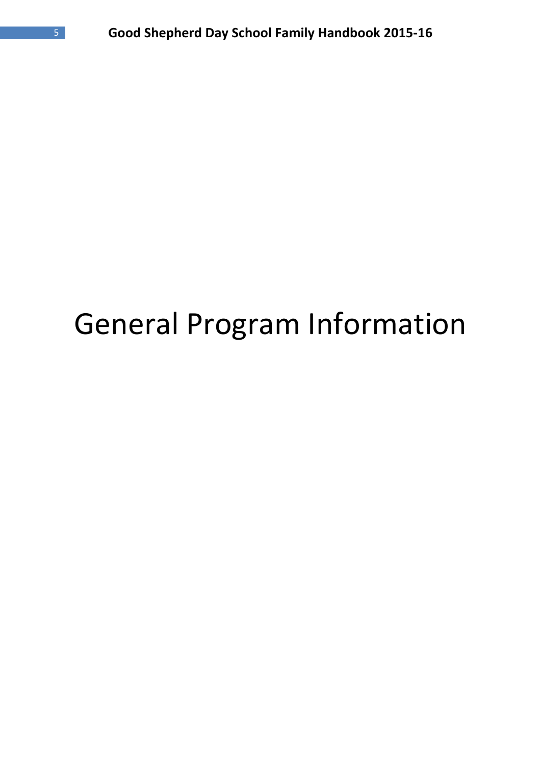# General Program Information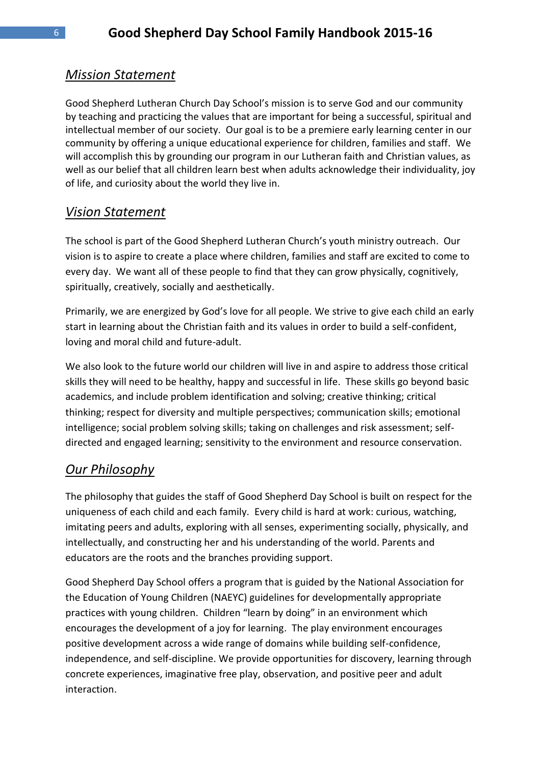# *Mission Statement*

Good Shepherd Lutheran Church Day School's mission is to serve God and our community by teaching and practicing the values that are important for being a successful, spiritual and intellectual member of our society. Our goal is to be a premiere early learning center in our community by offering a unique educational experience for children, families and staff. We will accomplish this by grounding our program in our Lutheran faith and Christian values, as well as our belief that all children learn best when adults acknowledge their individuality, joy of life, and curiosity about the world they live in.

# *Vision Statement*

The school is part of the Good Shepherd Lutheran Church's youth ministry outreach. Our vision is to aspire to create a place where children, families and staff are excited to come to every day. We want all of these people to find that they can grow physically, cognitively, spiritually, creatively, socially and aesthetically.

Primarily, we are energized by God's love for all people. We strive to give each child an early start in learning about the Christian faith and its values in order to build a self-confident, loving and moral child and future-adult.

We also look to the future world our children will live in and aspire to address those critical skills they will need to be healthy, happy and successful in life. These skills go beyond basic academics, and include problem identification and solving; creative thinking; critical thinking; respect for diversity and multiple perspectives; communication skills; emotional intelligence; social problem solving skills; taking on challenges and risk assessment; selfdirected and engaged learning; sensitivity to the environment and resource conservation.

# *Our Philosophy*

The philosophy that guides the staff of Good Shepherd Day School is built on respect for the uniqueness of each child and each family. Every child is hard at work: curious, watching, imitating peers and adults, exploring with all senses, experimenting socially, physically, and intellectually, and constructing her and his understanding of the world. Parents and educators are the roots and the branches providing support.

Good Shepherd Day School offers a program that is guided by the National Association for the Education of Young Children (NAEYC) guidelines for developmentally appropriate practices with young children. Children "learn by doing" in an environment which encourages the development of a joy for learning. The play environment encourages positive development across a wide range of domains while building self-confidence, independence, and self-discipline. We provide opportunities for discovery, learning through concrete experiences, imaginative free play, observation, and positive peer and adult interaction.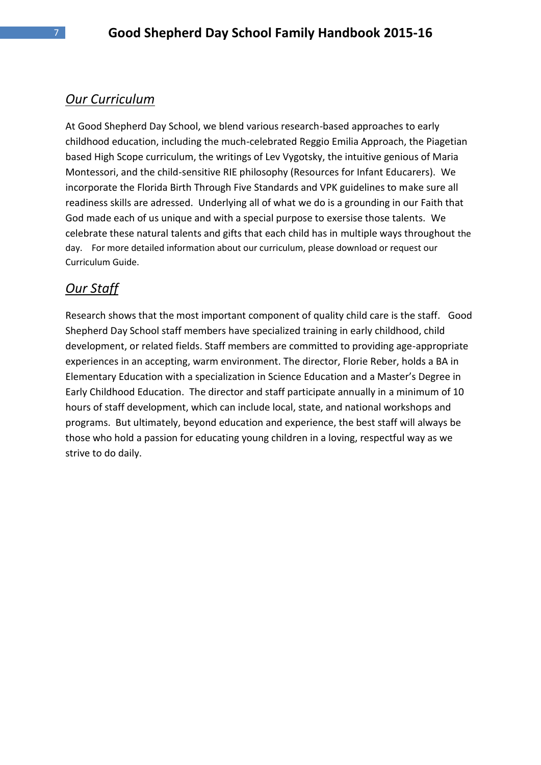# *Our Curriculum*

At Good Shepherd Day School, we blend various research-based approaches to early childhood education, including the much-celebrated Reggio Emilia Approach, the Piagetian based High Scope curriculum, the writings of Lev Vygotsky, the intuitive genious of Maria Montessori, and the child-sensitive RIE philosophy (Resources for Infant Educarers). We incorporate the Florida Birth Through Five Standards and VPK guidelines to make sure all readiness skills are adressed. Underlying all of what we do is a grounding in our Faith that God made each of us unique and with a special purpose to exersise those talents. We celebrate these natural talents and gifts that each child has in multiple ways throughout the day. For more detailed information about our curriculum, please download or request our Curriculum Guide.

# *Our Staff*

Research shows that the most important component of quality child care is the staff. Good Shepherd Day School staff members have specialized training in early childhood, child development, or related fields. Staff members are committed to providing age-appropriate experiences in an accepting, warm environment. The director, Florie Reber, holds a BA in Elementary Education with a specialization in Science Education and a Master's Degree in Early Childhood Education. The director and staff participate annually in a minimum of 10 hours of staff development, which can include local, state, and national workshops and programs. But ultimately, beyond education and experience, the best staff will always be those who hold a passion for educating young children in a loving, respectful way as we strive to do daily.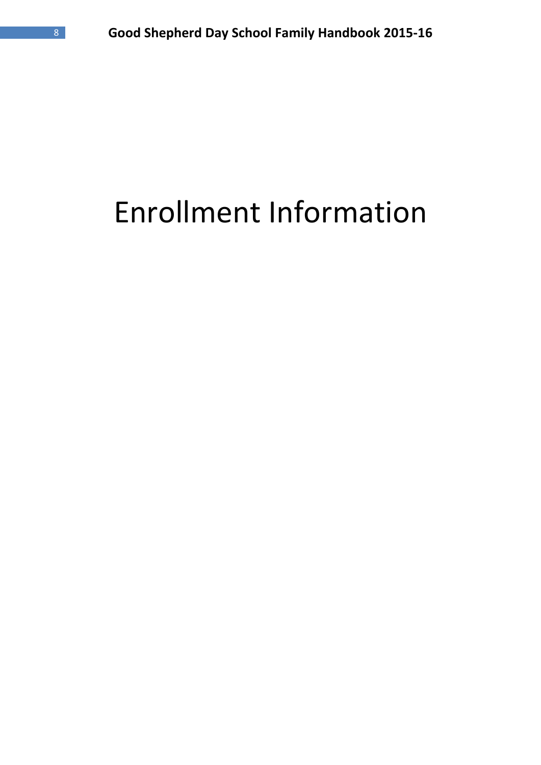# Enrollment Information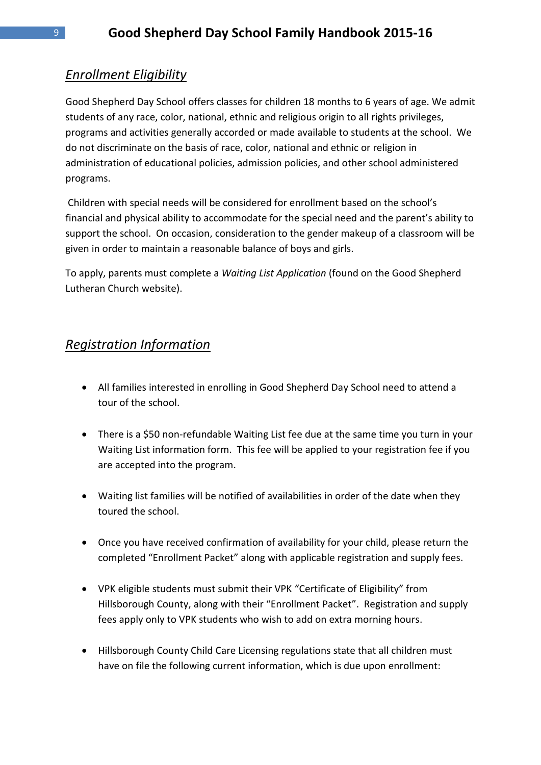# *Enrollment Eligibility*

Good Shepherd Day School offers classes for children 18 months to 6 years of age. We admit students of any race, color, national, ethnic and religious origin to all rights privileges, programs and activities generally accorded or made available to students at the school. We do not discriminate on the basis of race, color, national and ethnic or religion in administration of educational policies, admission policies, and other school administered programs.

Children with special needs will be considered for enrollment based on the school's financial and physical ability to accommodate for the special need and the parent's ability to support the school. On occasion, consideration to the gender makeup of a classroom will be given in order to maintain a reasonable balance of boys and girls.

To apply, parents must complete a *Waiting List Application* (found on the Good Shepherd Lutheran Church website).

# *Registration Information*

- All families interested in enrolling in Good Shepherd Day School need to attend a tour of the school.
- There is a \$50 non-refundable Waiting List fee due at the same time you turn in your Waiting List information form. This fee will be applied to your registration fee if you are accepted into the program.
- Waiting list families will be notified of availabilities in order of the date when they toured the school.
- Once you have received confirmation of availability for your child, please return the completed "Enrollment Packet" along with applicable registration and supply fees.
- VPK eligible students must submit their VPK "Certificate of Eligibility" from Hillsborough County, along with their "Enrollment Packet". Registration and supply fees apply only to VPK students who wish to add on extra morning hours.
- Hillsborough County Child Care Licensing regulations state that all children must have on file the following current information, which is due upon enrollment: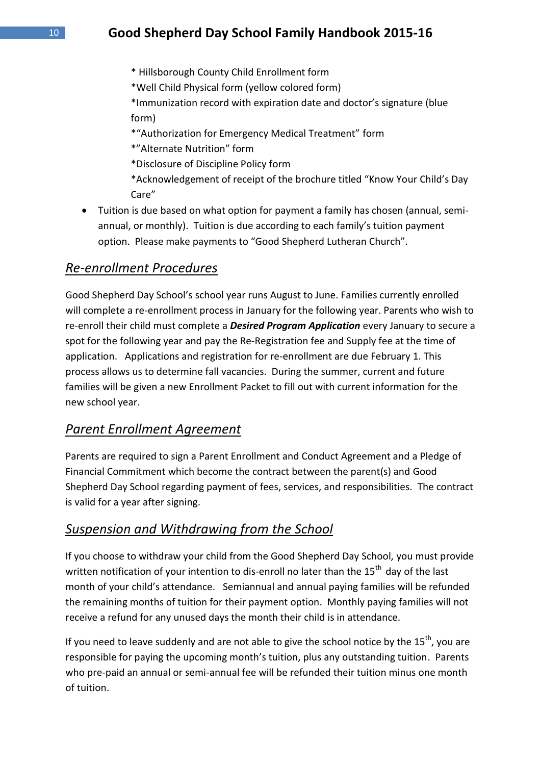- \* Hillsborough County Child Enrollment form
- \*Well Child Physical form (yellow colored form)
- \*Immunization record with expiration date and doctor's signature (blue form)
- \*"Authorization for Emergency Medical Treatment" form
- \*"Alternate Nutrition" form
- \*Disclosure of Discipline Policy form
- \*Acknowledgement of receipt of the brochure titled "Know Your Child's Day Care"
- Tuition is due based on what option for payment a family has chosen (annual, semiannual, or monthly). Tuition is due according to each family's tuition payment option. Please make payments to "Good Shepherd Lutheran Church".

#### *Re-enrollment Procedures*

Good Shepherd Day School's school year runs August to June. Families currently enrolled will complete a re-enrollment process in January for the following year. Parents who wish to re-enroll their child must complete a *Desired Program Application* every January to secure a spot for the following year and pay the Re-Registration fee and Supply fee at the time of application. Applications and registration for re-enrollment are due February 1. This process allows us to determine fall vacancies. During the summer, current and future families will be given a new Enrollment Packet to fill out with current information for the new school year.

#### *Parent Enrollment Agreement*

Parents are required to sign a Parent Enrollment and Conduct Agreement and a Pledge of Financial Commitment which become the contract between the parent(s) and Good Shepherd Day School regarding payment of fees, services, and responsibilities. The contract is valid for a year after signing.

# *Suspension and Withdrawing from the School*

If you choose to withdraw your child from the Good Shepherd Day School, you must provide written notification of your intention to dis-enroll no later than the  $15^{th}$  day of the last month of your child's attendance. Semiannual and annual paying families will be refunded the remaining months of tuition for their payment option. Monthly paying families will not receive a refund for any unused days the month their child is in attendance.

If you need to leave suddenly and are not able to give the school notice by the  $15^{th}$ , you are responsible for paying the upcoming month's tuition, plus any outstanding tuition. Parents who pre-paid an annual or semi-annual fee will be refunded their tuition minus one month of tuition.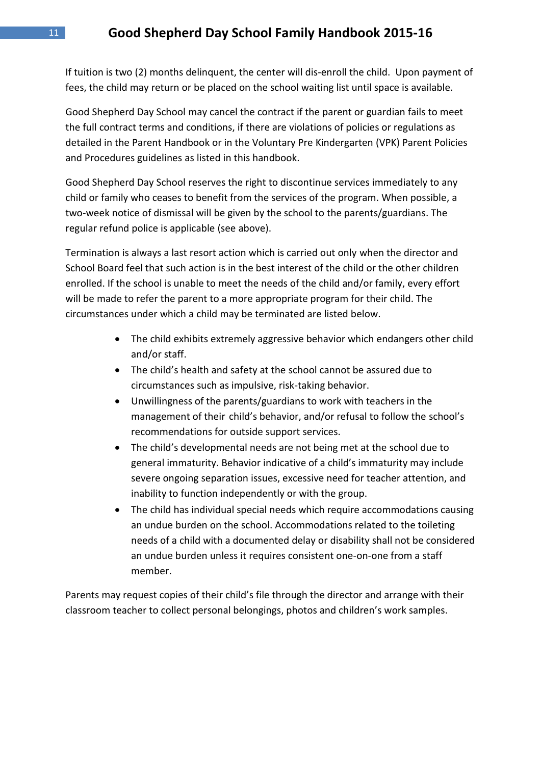If tuition is two (2) months delinquent, the center will dis-enroll the child. Upon payment of fees, the child may return or be placed on the school waiting list until space is available.

Good Shepherd Day School may cancel the contract if the parent or guardian fails to meet the full contract terms and conditions, if there are violations of policies or regulations as detailed in the Parent Handbook or in the Voluntary Pre Kindergarten (VPK) Parent Policies and Procedures guidelines as listed in this handbook.

Good Shepherd Day School reserves the right to discontinue services immediately to any child or family who ceases to benefit from the services of the program. When possible, a two-week notice of dismissal will be given by the school to the parents/guardians. The regular refund police is applicable (see above).

Termination is always a last resort action which is carried out only when the director and School Board feel that such action is in the best interest of the child or the other children enrolled. If the school is unable to meet the needs of the child and/or family, every effort will be made to refer the parent to a more appropriate program for their child. The circumstances under which a child may be terminated are listed below.

- The child exhibits extremely aggressive behavior which endangers other child and/or staff.
- The child's health and safety at the school cannot be assured due to circumstances such as impulsive, risk-taking behavior.
- Unwillingness of the parents/guardians to work with teachers in the management of their child's behavior, and/or refusal to follow the school's recommendations for outside support services.
- The child's developmental needs are not being met at the school due to general immaturity. Behavior indicative of a child's immaturity may include severe ongoing separation issues, excessive need for teacher attention, and inability to function independently or with the group.
- The child has individual special needs which require accommodations causing an undue burden on the school. Accommodations related to the toileting needs of a child with a documented delay or disability shall not be considered an undue burden unless it requires consistent one-on-one from a staff member.

Parents may request copies of their child's file through the director and arrange with their classroom teacher to collect personal belongings, photos and children's work samples.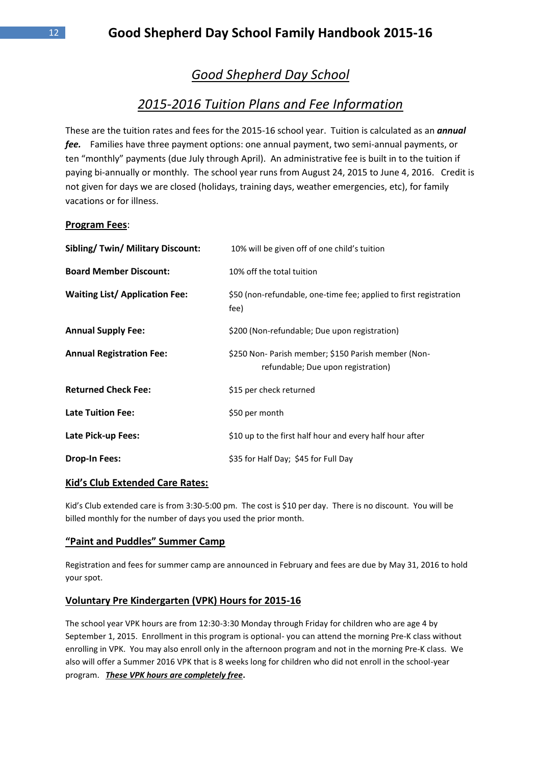# *Good Shepherd Day School*

# *2015-2016 Tuition Plans and Fee Information*

These are the tuition rates and fees for the 2015-16 school year. Tuition is calculated as an *annual fee.* Families have three payment options: one annual payment, two semi-annual payments, or ten "monthly" payments (due July through April). An administrative fee is built in to the tuition if paying bi-annually or monthly. The school year runs from August 24, 2015 to June 4, 2016. Credit is not given for days we are closed (holidays, training days, weather emergencies, etc), for family vacations or for illness.

#### **Program Fees**:

| <b>Sibling/Twin/Military Discount:</b> | 10% will be given off of one child's tuition                                              |  |
|----------------------------------------|-------------------------------------------------------------------------------------------|--|
| <b>Board Member Discount:</b>          | 10% off the total tuition                                                                 |  |
| <b>Waiting List/ Application Fee:</b>  | \$50 (non-refundable, one-time fee; applied to first registration<br>fee)                 |  |
| <b>Annual Supply Fee:</b>              | \$200 (Non-refundable; Due upon registration)                                             |  |
| <b>Annual Registration Fee:</b>        | \$250 Non- Parish member; \$150 Parish member (Non-<br>refundable; Due upon registration) |  |
| <b>Returned Check Fee:</b>             | \$15 per check returned                                                                   |  |
| <b>Late Tuition Fee:</b>               | \$50 per month                                                                            |  |
| Late Pick-up Fees:                     | \$10 up to the first half hour and every half hour after                                  |  |
| <b>Drop-In Fees:</b>                   | \$35 for Half Day; \$45 for Full Day                                                      |  |

#### **Kid's Club Extended Care Rates:**

Kid's Club extended care is from 3:30-5:00 pm. The cost is \$10 per day. There is no discount. You will be billed monthly for the number of days you used the prior month.

#### **"Paint and Puddles" Summer Camp**

Registration and fees for summer camp are announced in February and fees are due by May 31, 2016 to hold your spot.

#### **Voluntary Pre Kindergarten (VPK) Hours for 2015-16**

The school year VPK hours are from 12:30-3:30 Monday through Friday for children who are age 4 by September 1, 2015. Enrollment in this program is optional- you can attend the morning Pre-K class without enrolling in VPK. You may also enroll only in the afternoon program and not in the morning Pre-K class. We also will offer a Summer 2016 VPK that is 8 weeks long for children who did not enroll in the school-year program. *These VPK hours are completely free***.**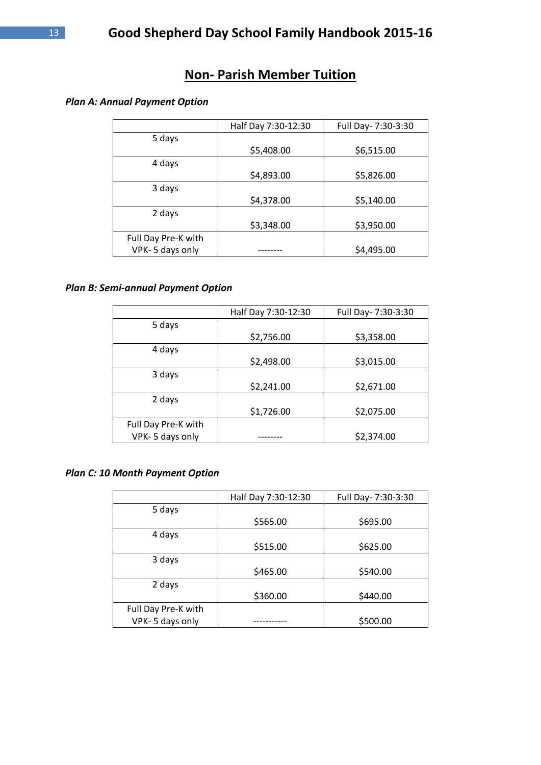# **Non- Parish Member Tuition**

#### *Plan A: Annual Payment Option*

|                     | Half Day 7:30-12:30 | Full Day- 7:30-3:30 |
|---------------------|---------------------|---------------------|
| 5 days              |                     |                     |
|                     | \$5,408.00          | \$6,515.00          |
| 4 days              |                     |                     |
|                     | \$4,893.00          | \$5,826.00          |
| 3 days              |                     |                     |
|                     | \$4,378.00          | \$5,140.00          |
| 2 days              |                     |                     |
|                     | \$3,348.00          | \$3,950.00          |
| Full Day Pre-K with |                     |                     |
| VPK-5 days only     |                     | \$4,495.00          |

#### *Plan B: Semi-annual Payment Option*

|                     | Half Day 7:30-12:30 | Full Day- 7:30-3:30 |
|---------------------|---------------------|---------------------|
| 5 days              |                     |                     |
|                     | \$2,756.00          | \$3,358.00          |
| 4 days              |                     |                     |
|                     | \$2,498.00          | \$3,015.00          |
| 3 days              |                     |                     |
|                     | \$2,241.00          | \$2,671.00          |
| 2 days              |                     |                     |
|                     | \$1,726.00          | \$2,075.00          |
| Full Day Pre-K with |                     |                     |
| VPK-5 days only     |                     | \$2,374.00          |

#### *Plan C: 10 Month Payment Option*

|                     | Half Day 7:30-12:30 | Full Day- 7:30-3:30 |
|---------------------|---------------------|---------------------|
| 5 days              |                     |                     |
|                     | \$565.00            | \$695.00            |
| 4 days              |                     |                     |
|                     | \$515.00            | \$625.00            |
| 3 days              |                     |                     |
|                     | \$465.00            | \$540.00            |
| 2 days              |                     |                     |
|                     | \$360.00            | \$440.00            |
| Full Day Pre-K with |                     |                     |
| VPK-5 days only     |                     | \$500.00            |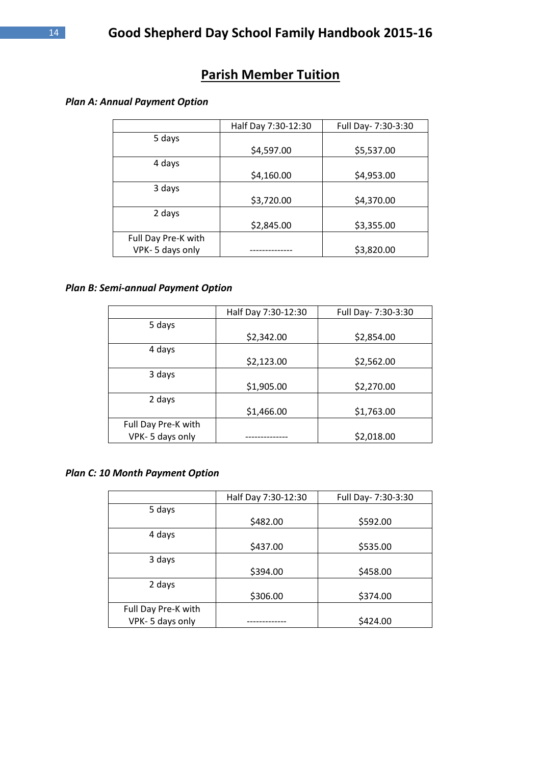# **Parish Member Tuition**

#### *Plan A: Annual Payment Option*

|                     | Half Day 7:30-12:30 | Full Day- 7:30-3:30 |
|---------------------|---------------------|---------------------|
| 5 days              |                     |                     |
|                     | \$4,597.00          | \$5,537.00          |
| 4 days              |                     |                     |
|                     | \$4,160.00          | \$4,953.00          |
| 3 days              |                     |                     |
|                     | \$3,720.00          | \$4,370.00          |
| 2 days              |                     |                     |
|                     | \$2,845.00          | \$3,355.00          |
| Full Day Pre-K with |                     |                     |
| VPK-5 days only     |                     | \$3,820.00          |

#### *Plan B: Semi-annual Payment Option*

|                     | Half Day 7:30-12:30 | Full Day- 7:30-3:30 |
|---------------------|---------------------|---------------------|
| 5 days              |                     |                     |
|                     | \$2,342.00          | \$2,854.00          |
| 4 days              |                     |                     |
|                     | \$2,123.00          | \$2,562.00          |
| 3 days              |                     |                     |
|                     | \$1,905.00          | \$2,270.00          |
| 2 days              |                     |                     |
|                     | \$1,466.00          | \$1,763.00          |
| Full Day Pre-K with |                     |                     |
| VPK-5 days only     |                     | \$2,018.00          |

#### *Plan C: 10 Month Payment Option*

|                     | Half Day 7:30-12:30 | Full Day- 7:30-3:30 |
|---------------------|---------------------|---------------------|
| 5 days              |                     |                     |
|                     | \$482.00            | \$592.00            |
| 4 days              |                     |                     |
|                     | \$437.00            | \$535.00            |
| 3 days              |                     |                     |
|                     | \$394.00            | \$458.00            |
| 2 days              |                     |                     |
|                     | \$306.00            | \$374.00            |
| Full Day Pre-K with |                     |                     |
| VPK-5 days only     |                     | \$424.00            |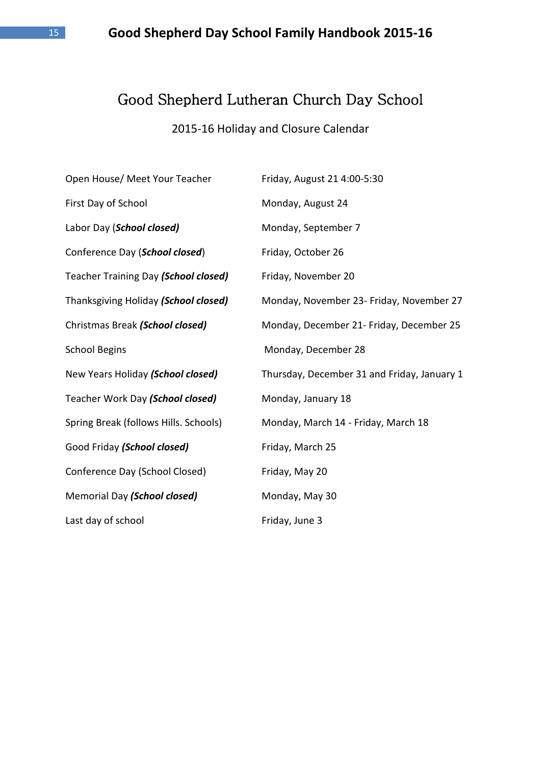# Good Shepherd Lutheran Church Day School

# 2015-16 Holiday and Closure Calendar

| Open House/ Meet Your Teacher         | Friday, August 21 4:00-5:30                 |
|---------------------------------------|---------------------------------------------|
| First Day of School                   | Monday, August 24                           |
| Labor Day (School closed)             | Monday, September 7                         |
| Conference Day (School closed)        | Friday, October 26                          |
| Teacher Training Day (School closed)  | Friday, November 20                         |
| Thanksgiving Holiday (School closed)  | Monday, November 23- Friday, November 27    |
| Christmas Break (School closed)       | Monday, December 21- Friday, December 25    |
| <b>School Begins</b>                  | Monday, December 28                         |
| New Years Holiday (School closed)     | Thursday, December 31 and Friday, January 1 |
| Teacher Work Day (School closed)      | Monday, January 18                          |
| Spring Break (follows Hills. Schools) | Monday, March 14 - Friday, March 18         |
| Good Friday (School closed)           | Friday, March 25                            |
| Conference Day (School Closed)        | Friday, May 20                              |
| Memorial Day (School closed)          | Monday, May 30                              |
| Last day of school                    | Friday, June 3                              |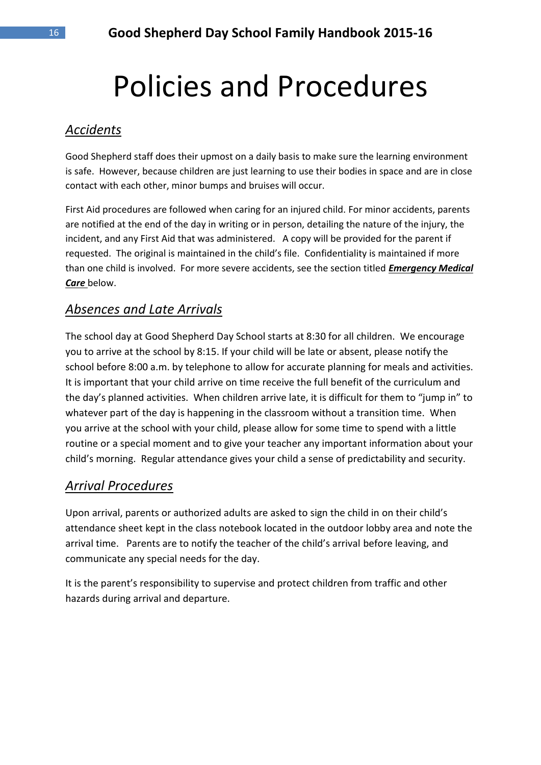# Policies and Procedures

# *Accidents*

Good Shepherd staff does their upmost on a daily basis to make sure the learning environment is safe. However, because children are just learning to use their bodies in space and are in close contact with each other, minor bumps and bruises will occur.

First Aid procedures are followed when caring for an injured child. For minor accidents, parents are notified at the end of the day in writing or in person, detailing the nature of the injury, the incident, and any First Aid that was administered. A copy will be provided for the parent if requested. The original is maintained in the child's file. Confidentiality is maintained if more than one child is involved. For more severe accidents, see the section titled *Emergency Medical Care* below.

# *Absences and Late Arrivals*

The school day at Good Shepherd Day School starts at 8:30 for all children. We encourage you to arrive at the school by 8:15. If your child will be late or absent, please notify the school before 8:00 a.m. by telephone to allow for accurate planning for meals and activities. It is important that your child arrive on time receive the full benefit of the curriculum and the day's planned activities. When children arrive late, it is difficult for them to "jump in" to whatever part of the day is happening in the classroom without a transition time. When you arrive at the school with your child, please allow for some time to spend with a little routine or a special moment and to give your teacher any important information about your child's morning. Regular attendance gives your child a sense of predictability and security.

# *Arrival Procedures*

Upon arrival, parents or authorized adults are asked to sign the child in on their child's attendance sheet kept in the class notebook located in the outdoor lobby area and note the arrival time. Parents are to notify the teacher of the child's arrival before leaving, and communicate any special needs for the day.

It is the parent's responsibility to supervise and protect children from traffic and other hazards during arrival and departure.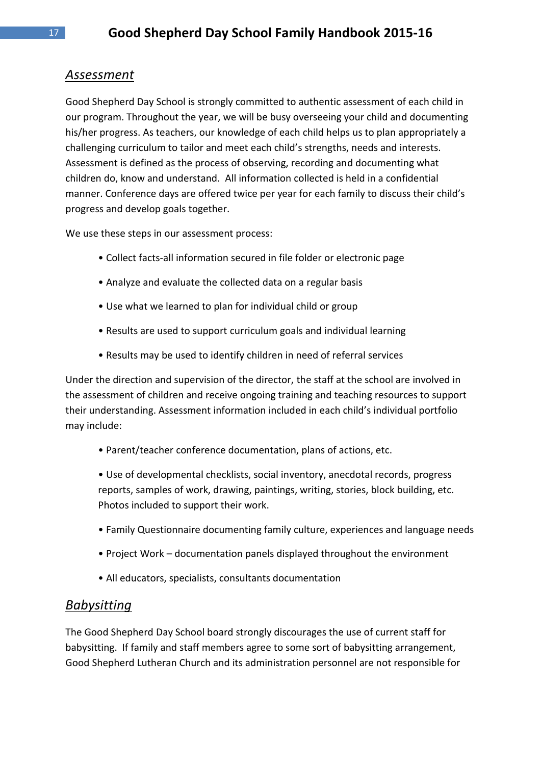# *Assessment*

Good Shepherd Day School is strongly committed to authentic assessment of each child in our program. Throughout the year, we will be busy overseeing your child and documenting his/her progress. As teachers, our knowledge of each child helps us to plan appropriately a challenging curriculum to tailor and meet each child's strengths, needs and interests. Assessment is defined as the process of observing, recording and documenting what children do, know and understand. All information collected is held in a confidential manner. Conference days are offered twice per year for each family to discuss their child's progress and develop goals together.

We use these steps in our assessment process:

- Collect facts-all information secured in file folder or electronic page
- Analyze and evaluate the collected data on a regular basis
- Use what we learned to plan for individual child or group
- Results are used to support curriculum goals and individual learning
- Results may be used to identify children in need of referral services

Under the direction and supervision of the director, the staff at the school are involved in the assessment of children and receive ongoing training and teaching resources to support their understanding. Assessment information included in each child's individual portfolio may include:

• Parent/teacher conference documentation, plans of actions, etc.

• Use of developmental checklists, social inventory, anecdotal records, progress reports, samples of work, drawing, paintings, writing, stories, block building, etc. Photos included to support their work.

- Family Questionnaire documenting family culture, experiences and language needs
- Project Work documentation panels displayed throughout the environment
- All educators, specialists, consultants documentation

#### *Babysitting*

The Good Shepherd Day School board strongly discourages the use of current staff for babysitting. If family and staff members agree to some sort of babysitting arrangement, Good Shepherd Lutheran Church and its administration personnel are not responsible for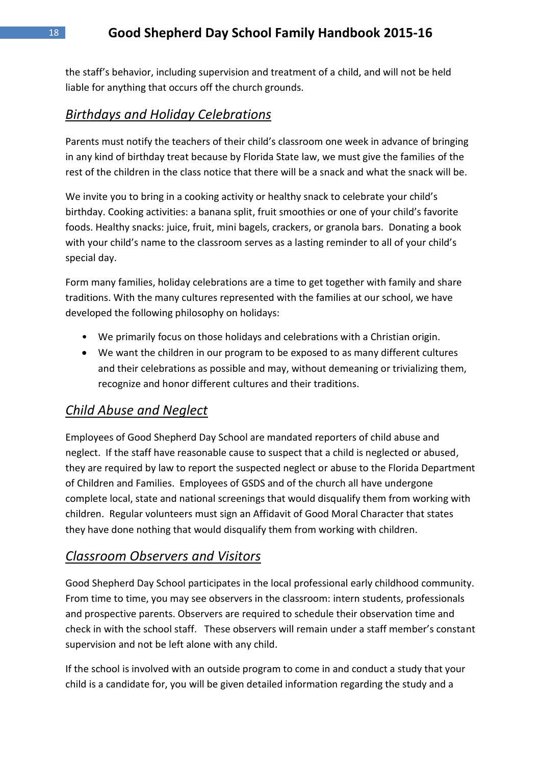the staff's behavior, including supervision and treatment of a child, and will not be held liable for anything that occurs off the church grounds.

# *Birthdays and Holiday Celebrations*

Parents must notify the teachers of their child's classroom one week in advance of bringing in any kind of birthday treat because by Florida State law, we must give the families of the rest of the children in the class notice that there will be a snack and what the snack will be.

We invite you to bring in a cooking activity or healthy snack to celebrate your child's birthday. Cooking activities: a banana split, fruit smoothies or one of your child's favorite foods. Healthy snacks: juice, fruit, mini bagels, crackers, or granola bars. Donating a book with your child's name to the classroom serves as a lasting reminder to all of your child's special day.

Form many families, holiday celebrations are a time to get together with family and share traditions. With the many cultures represented with the families at our school, we have developed the following philosophy on holidays:

- We primarily focus on those holidays and celebrations with a Christian origin.
- We want the children in our program to be exposed to as many different cultures and their celebrations as possible and may, without demeaning or trivializing them, recognize and honor different cultures and their traditions.

# *Child Abuse and Neglect*

Employees of Good Shepherd Day School are mandated reporters of child abuse and neglect. If the staff have reasonable cause to suspect that a child is neglected or abused, they are required by law to report the suspected neglect or abuse to the Florida Department of Children and Families. Employees of GSDS and of the church all have undergone complete local, state and national screenings that would disqualify them from working with children. Regular volunteers must sign an Affidavit of Good Moral Character that states they have done nothing that would disqualify them from working with children.

#### *Classroom Observers and Visitors*

Good Shepherd Day School participates in the local professional early childhood community. From time to time, you may see observers in the classroom: intern students, professionals and prospective parents. Observers are required to schedule their observation time and check in with the school staff. These observers will remain under a staff member's constant supervision and not be left alone with any child.

If the school is involved with an outside program to come in and conduct a study that your child is a candidate for, you will be given detailed information regarding the study and a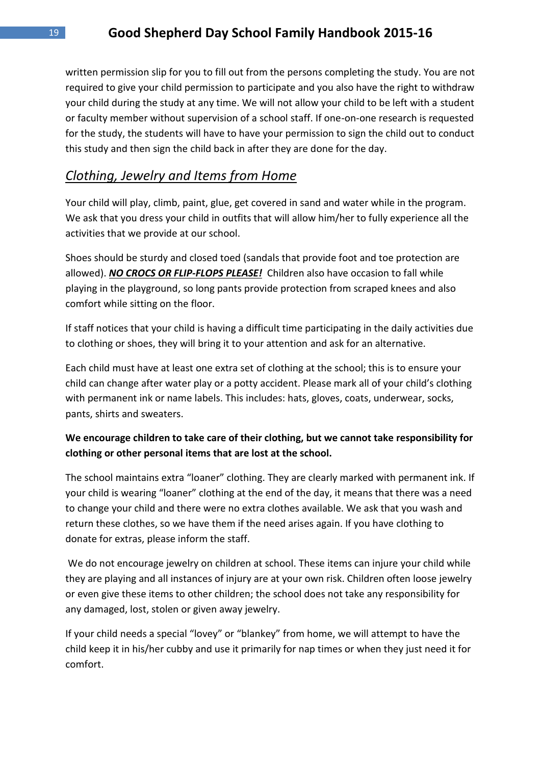written permission slip for you to fill out from the persons completing the study. You are not required to give your child permission to participate and you also have the right to withdraw your child during the study at any time. We will not allow your child to be left with a student or faculty member without supervision of a school staff. If one-on-one research is requested for the study, the students will have to have your permission to sign the child out to conduct this study and then sign the child back in after they are done for the day.

#### *Clothing, Jewelry and Items from Home*

Your child will play, climb, paint, glue, get covered in sand and water while in the program. We ask that you dress your child in outfits that will allow him/her to fully experience all the activities that we provide at our school.

Shoes should be sturdy and closed toed (sandals that provide foot and toe protection are allowed). *NO CROCS OR FLIP-FLOPS PLEASE!* Children also have occasion to fall while playing in the playground, so long pants provide protection from scraped knees and also comfort while sitting on the floor.

If staff notices that your child is having a difficult time participating in the daily activities due to clothing or shoes, they will bring it to your attention and ask for an alternative.

Each child must have at least one extra set of clothing at the school; this is to ensure your child can change after water play or a potty accident. Please mark all of your child's clothing with permanent ink or name labels. This includes: hats, gloves, coats, underwear, socks, pants, shirts and sweaters.

#### **We encourage children to take care of their clothing, but we cannot take responsibility for clothing or other personal items that are lost at the school.**

The school maintains extra "loaner" clothing. They are clearly marked with permanent ink. If your child is wearing "loaner" clothing at the end of the day, it means that there was a need to change your child and there were no extra clothes available. We ask that you wash and return these clothes, so we have them if the need arises again. If you have clothing to donate for extras, please inform the staff.

We do not encourage jewelry on children at school. These items can injure your child while they are playing and all instances of injury are at your own risk. Children often loose jewelry or even give these items to other children; the school does not take any responsibility for any damaged, lost, stolen or given away jewelry.

If your child needs a special "lovey" or "blankey" from home, we will attempt to have the child keep it in his/her cubby and use it primarily for nap times or when they just need it for comfort.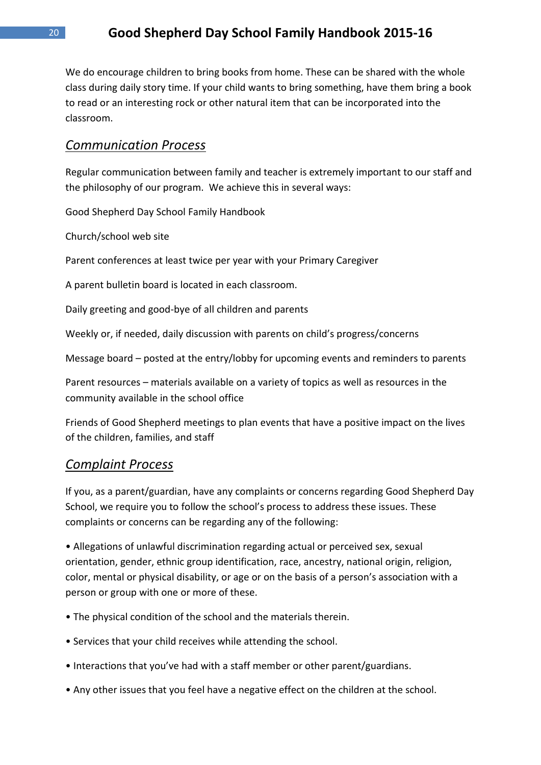We do encourage children to bring books from home. These can be shared with the whole class during daily story time. If your child wants to bring something, have them bring a book to read or an interesting rock or other natural item that can be incorporated into the classroom.

#### *Communication Process*

Regular communication between family and teacher is extremely important to our staff and the philosophy of our program. We achieve this in several ways:

Good Shepherd Day School Family Handbook

Church/school web site

Parent conferences at least twice per year with your Primary Caregiver

A parent bulletin board is located in each classroom.

Daily greeting and good-bye of all children and parents

Weekly or, if needed, daily discussion with parents on child's progress/concerns

Message board – posted at the entry/lobby for upcoming events and reminders to parents

Parent resources – materials available on a variety of topics as well as resources in the community available in the school office

Friends of Good Shepherd meetings to plan events that have a positive impact on the lives of the children, families, and staff

#### *Complaint Process*

If you, as a parent/guardian, have any complaints or concerns regarding Good Shepherd Day School, we require you to follow the school's process to address these issues. These complaints or concerns can be regarding any of the following:

• Allegations of unlawful discrimination regarding actual or perceived sex, sexual orientation, gender, ethnic group identification, race, ancestry, national origin, religion, color, mental or physical disability, or age or on the basis of a person's association with a person or group with one or more of these.

- The physical condition of the school and the materials therein.
- Services that your child receives while attending the school.
- Interactions that you've had with a staff member or other parent/guardians.
- Any other issues that you feel have a negative effect on the children at the school.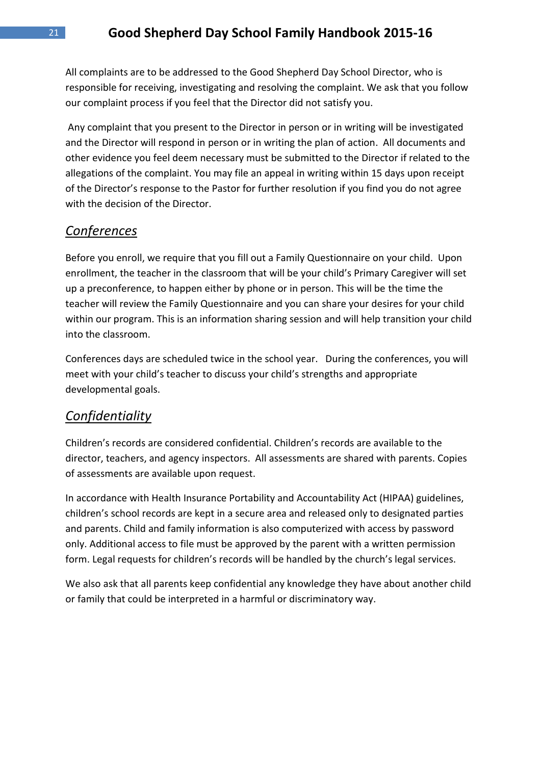All complaints are to be addressed to the Good Shepherd Day School Director, who is responsible for receiving, investigating and resolving the complaint. We ask that you follow our complaint process if you feel that the Director did not satisfy you.

Any complaint that you present to the Director in person or in writing will be investigated and the Director will respond in person or in writing the plan of action. All documents and other evidence you feel deem necessary must be submitted to the Director if related to the allegations of the complaint. You may file an appeal in writing within 15 days upon receipt of the Director's response to the Pastor for further resolution if you find you do not agree with the decision of the Director.

#### *Conferences*

Before you enroll, we require that you fill out a Family Questionnaire on your child. Upon enrollment, the teacher in the classroom that will be your child's Primary Caregiver will set up a preconference, to happen either by phone or in person. This will be the time the teacher will review the Family Questionnaire and you can share your desires for your child within our program. This is an information sharing session and will help transition your child into the classroom.

Conferences days are scheduled twice in the school year. During the conferences, you will meet with your child's teacher to discuss your child's strengths and appropriate developmental goals.

#### *Confidentiality*

Children's records are considered confidential. Children's records are available to the director, teachers, and agency inspectors. All assessments are shared with parents. Copies of assessments are available upon request.

In accordance with Health Insurance Portability and Accountability Act (HIPAA) guidelines, children's school records are kept in a secure area and released only to designated parties and parents. Child and family information is also computerized with access by password only. Additional access to file must be approved by the parent with a written permission form. Legal requests for children's records will be handled by the church's legal services.

We also ask that all parents keep confidential any knowledge they have about another child or family that could be interpreted in a harmful or discriminatory way.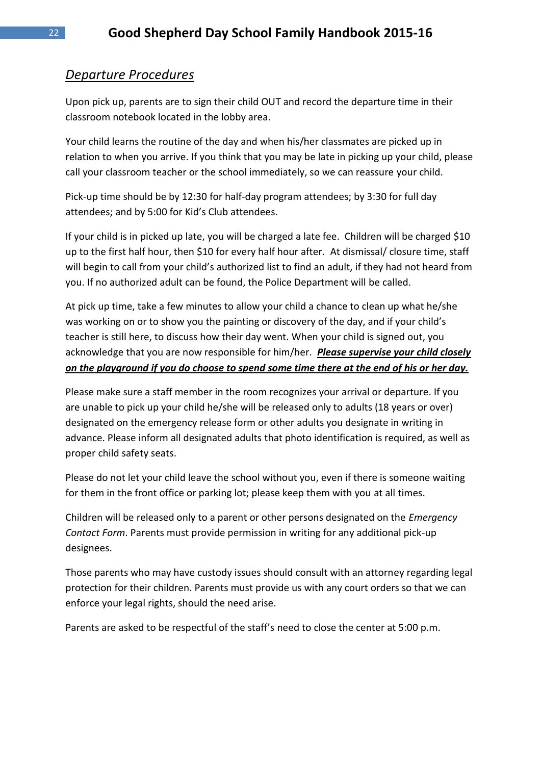# *Departure Procedures*

Upon pick up, parents are to sign their child OUT and record the departure time in their classroom notebook located in the lobby area.

Your child learns the routine of the day and when his/her classmates are picked up in relation to when you arrive. If you think that you may be late in picking up your child, please call your classroom teacher or the school immediately, so we can reassure your child.

Pick-up time should be by 12:30 for half-day program attendees; by 3:30 for full day attendees; and by 5:00 for Kid's Club attendees.

If your child is in picked up late, you will be charged a late fee. Children will be charged \$10 up to the first half hour, then \$10 for every half hour after. At dismissal/ closure time, staff will begin to call from your child's authorized list to find an adult, if they had not heard from you. If no authorized adult can be found, the Police Department will be called.

At pick up time, take a few minutes to allow your child a chance to clean up what he/she was working on or to show you the painting or discovery of the day, and if your child's teacher is still here, to discuss how their day went. When your child is signed out, you acknowledge that you are now responsible for him/her. *Please supervise your child closely on the playground if you do choose to spend some time there at the end of his or her day.*

Please make sure a staff member in the room recognizes your arrival or departure. If you are unable to pick up your child he/she will be released only to adults (18 years or over) designated on the emergency release form or other adults you designate in writing in advance. Please inform all designated adults that photo identification is required, as well as proper child safety seats.

Please do not let your child leave the school without you, even if there is someone waiting for them in the front office or parking lot; please keep them with you at all times.

Children will be released only to a parent or other persons designated on the *Emergency Contact Form*. Parents must provide permission in writing for any additional pick-up designees.

Those parents who may have custody issues should consult with an attorney regarding legal protection for their children. Parents must provide us with any court orders so that we can enforce your legal rights, should the need arise.

Parents are asked to be respectful of the staff's need to close the center at 5:00 p.m.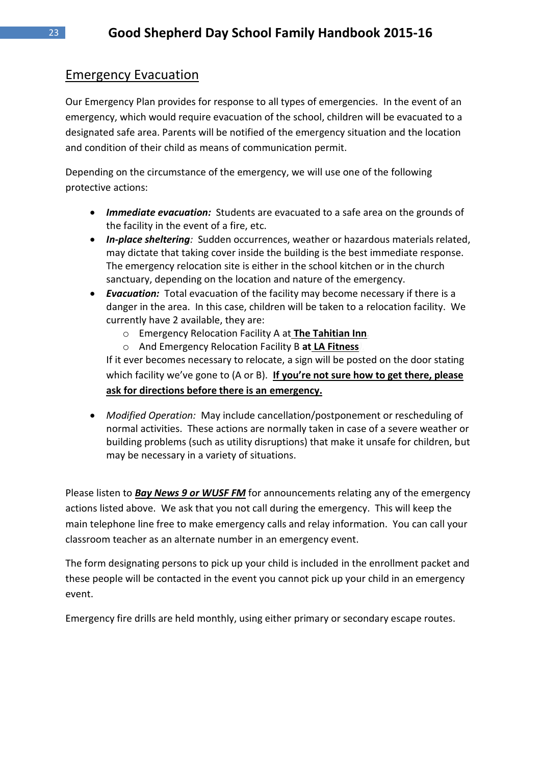# Emergency Evacuation

Our Emergency Plan provides for response to all types of emergencies. In the event of an emergency, which would require evacuation of the school, children will be evacuated to a designated safe area. Parents will be notified of the emergency situation and the location and condition of their child as means of communication permit.

Depending on the circumstance of the emergency, we will use one of the following protective actions:

- *Immediate evacuation:* Students are evacuated to a safe area on the grounds of the facility in the event of a fire, etc.
- *In-place sheltering:* Sudden occurrences, weather or hazardous materials related, may dictate that taking cover inside the building is the best immediate response. The emergency relocation site is either in the school kitchen or in the church sanctuary, depending on the location and nature of the emergency.
- *Evacuation:* Total evacuation of the facility may become necessary if there is a danger in the area. In this case, children will be taken to a relocation facility. We currently have 2 available, they are:
	- o Emergency Relocation Facility A at **The Tahitian Inn***.*
	- o And Emergency Relocation Facility B **at LA Fitness***).*

If it ever becomes necessary to relocate, a sign will be posted on the door stating which facility we've gone to (A or B). **If you're not sure how to get there, please ask for directions before there is an emergency.**

 *Modified Operation:* May include cancellation/postponement or rescheduling of normal activities. These actions are normally taken in case of a severe weather or building problems (such as utility disruptions) that make it unsafe for children, but may be necessary in a variety of situations.

Please listen to *Bay News 9 or WUSF FM* for announcements relating any of the emergency actions listed above. We ask that you not call during the emergency. This will keep the main telephone line free to make emergency calls and relay information. You can call your classroom teacher as an alternate number in an emergency event.

The form designating persons to pick up your child is included in the enrollment packet and these people will be contacted in the event you cannot pick up your child in an emergency event.

Emergency fire drills are held monthly, using either primary or secondary escape routes.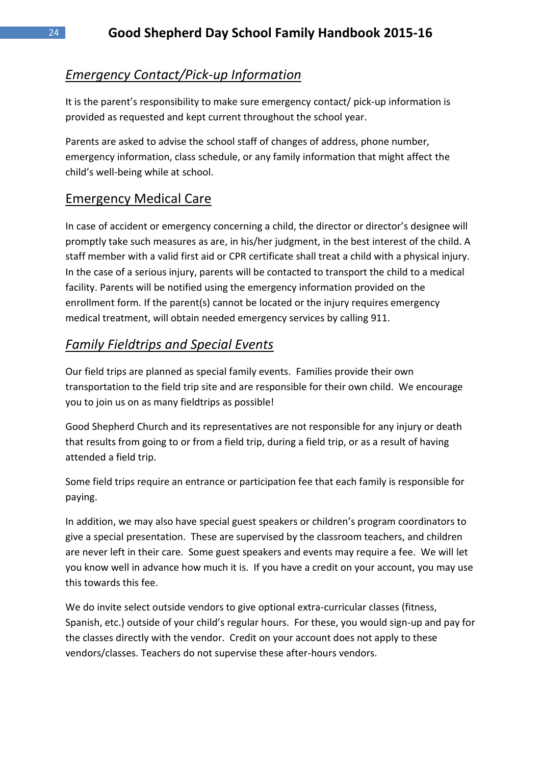# *Emergency Contact/Pick-up Information*

It is the parent's responsibility to make sure emergency contact/ pick-up information is provided as requested and kept current throughout the school year.

Parents are asked to advise the school staff of changes of address, phone number, emergency information, class schedule, or any family information that might affect the child's well-being while at school.

# Emergency Medical Care

In case of accident or emergency concerning a child, the director or director's designee will promptly take such measures as are, in his/her judgment, in the best interest of the child. A staff member with a valid first aid or CPR certificate shall treat a child with a physical injury. In the case of a serious injury, parents will be contacted to transport the child to a medical facility. Parents will be notified using the emergency information provided on the enrollment form*.* If the parent(s) cannot be located or the injury requires emergency medical treatment, will obtain needed emergency services by calling 911.

# *Family Fieldtrips and Special Events*

Our field trips are planned as special family events. Families provide their own transportation to the field trip site and are responsible for their own child. We encourage you to join us on as many fieldtrips as possible!

Good Shepherd Church and its representatives are not responsible for any injury or death that results from going to or from a field trip, during a field trip, or as a result of having attended a field trip.

Some field trips require an entrance or participation fee that each family is responsible for paying.

In addition, we may also have special guest speakers or children's program coordinators to give a special presentation. These are supervised by the classroom teachers, and children are never left in their care. Some guest speakers and events may require a fee. We will let you know well in advance how much it is. If you have a credit on your account, you may use this towards this fee.

We do invite select outside vendors to give optional extra-curricular classes (fitness, Spanish, etc.) outside of your child's regular hours. For these, you would sign-up and pay for the classes directly with the vendor. Credit on your account does not apply to these vendors/classes. Teachers do not supervise these after-hours vendors.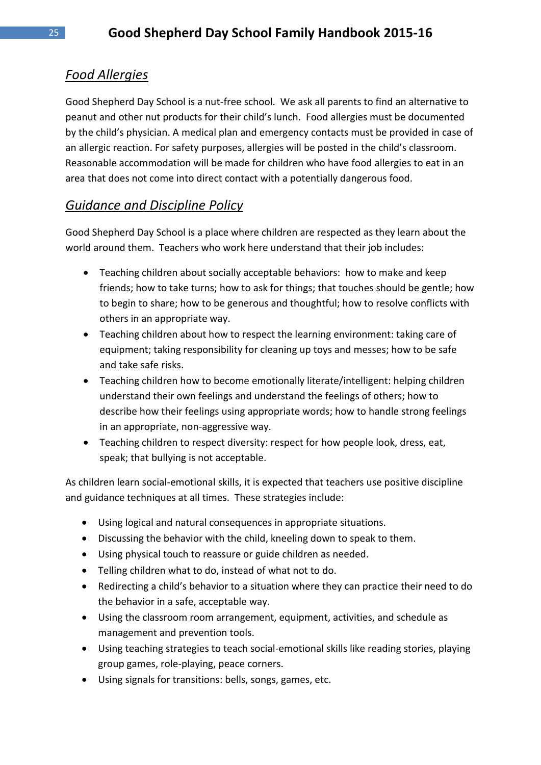# *Food Allergies*

Good Shepherd Day School is a nut-free school. We ask all parents to find an alternative to peanut and other nut products for their child's lunch. Food allergies must be documented by the child's physician. A medical plan and emergency contacts must be provided in case of an allergic reaction. For safety purposes, allergies will be posted in the child's classroom. Reasonable accommodation will be made for children who have food allergies to eat in an area that does not come into direct contact with a potentially dangerous food.

# *Guidance and Discipline Policy*

Good Shepherd Day School is a place where children are respected as they learn about the world around them. Teachers who work here understand that their job includes:

- Teaching children about socially acceptable behaviors: how to make and keep friends; how to take turns; how to ask for things; that touches should be gentle; how to begin to share; how to be generous and thoughtful; how to resolve conflicts with others in an appropriate way.
- Teaching children about how to respect the learning environment: taking care of equipment; taking responsibility for cleaning up toys and messes; how to be safe and take safe risks.
- Teaching children how to become emotionally literate/intelligent: helping children understand their own feelings and understand the feelings of others; how to describe how their feelings using appropriate words; how to handle strong feelings in an appropriate, non-aggressive way.
- Teaching children to respect diversity: respect for how people look, dress, eat, speak; that bullying is not acceptable.

As children learn social-emotional skills, it is expected that teachers use positive discipline and guidance techniques at all times. These strategies include:

- Using logical and natural consequences in appropriate situations.
- Discussing the behavior with the child, kneeling down to speak to them.
- Using physical touch to reassure or guide children as needed.
- Telling children what to do, instead of what not to do.
- Redirecting a child's behavior to a situation where they can practice their need to do the behavior in a safe, acceptable way.
- Using the classroom room arrangement, equipment, activities, and schedule as management and prevention tools.
- Using teaching strategies to teach social-emotional skills like reading stories, playing group games, role-playing, peace corners.
- Using signals for transitions: bells, songs, games, etc.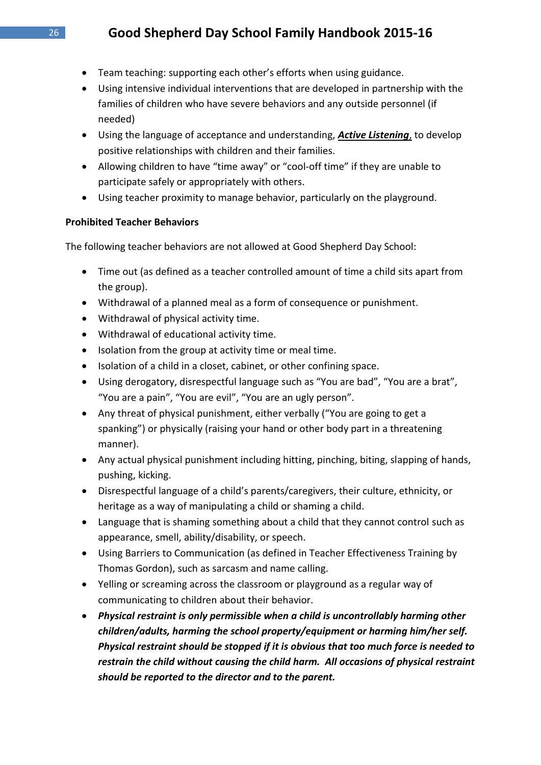- Team teaching: supporting each other's efforts when using guidance.
- Using intensive individual interventions that are developed in partnership with the families of children who have severe behaviors and any outside personnel (if needed)
- Using the language of acceptance and understanding, *Active Listening*, to develop positive relationships with children and their families.
- Allowing children to have "time away" or "cool-off time" if they are unable to participate safely or appropriately with others.
- Using teacher proximity to manage behavior, particularly on the playground.

#### **Prohibited Teacher Behaviors**

The following teacher behaviors are not allowed at Good Shepherd Day School:

- Time out (as defined as a teacher controlled amount of time a child sits apart from the group).
- Withdrawal of a planned meal as a form of consequence or punishment.
- Withdrawal of physical activity time.
- Withdrawal of educational activity time.
- Isolation from the group at activity time or meal time.
- Isolation of a child in a closet, cabinet, or other confining space.
- Using derogatory, disrespectful language such as "You are bad", "You are a brat", "You are a pain", "You are evil", "You are an ugly person".
- Any threat of physical punishment, either verbally ("You are going to get a spanking") or physically (raising your hand or other body part in a threatening manner).
- Any actual physical punishment including hitting, pinching, biting, slapping of hands, pushing, kicking.
- Disrespectful language of a child's parents/caregivers, their culture, ethnicity, or heritage as a way of manipulating a child or shaming a child.
- Language that is shaming something about a child that they cannot control such as appearance, smell, ability/disability, or speech.
- Using Barriers to Communication (as defined in Teacher Effectiveness Training by Thomas Gordon), such as sarcasm and name calling.
- Yelling or screaming across the classroom or playground as a regular way of communicating to children about their behavior.
- *Physical restraint is only permissible when a child is uncontrollably harming other children/adults, harming the school property/equipment or harming him/her self. Physical restraint should be stopped if it is obvious that too much force is needed to restrain the child without causing the child harm. All occasions of physical restraint should be reported to the director and to the parent.*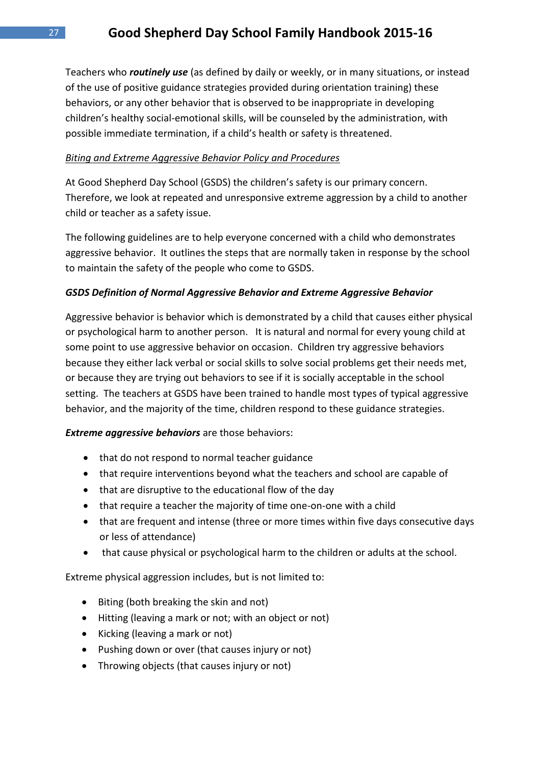Teachers who *routinely use* (as defined by daily or weekly, or in many situations, or instead of the use of positive guidance strategies provided during orientation training) these behaviors, or any other behavior that is observed to be inappropriate in developing children's healthy social-emotional skills, will be counseled by the administration, with possible immediate termination, if a child's health or safety is threatened.

#### *Biting and Extreme Aggressive Behavior Policy and Procedures*

At Good Shepherd Day School (GSDS) the children's safety is our primary concern. Therefore, we look at repeated and unresponsive extreme aggression by a child to another child or teacher as a safety issue.

The following guidelines are to help everyone concerned with a child who demonstrates aggressive behavior. It outlines the steps that are normally taken in response by the school to maintain the safety of the people who come to GSDS.

#### *GSDS Definition of Normal Aggressive Behavior and Extreme Aggressive Behavior*

Aggressive behavior is behavior which is demonstrated by a child that causes either physical or psychological harm to another person. It is natural and normal for every young child at some point to use aggressive behavior on occasion. Children try aggressive behaviors because they either lack verbal or social skills to solve social problems get their needs met, or because they are trying out behaviors to see if it is socially acceptable in the school setting. The teachers at GSDS have been trained to handle most types of typical aggressive behavior, and the majority of the time, children respond to these guidance strategies.

*Extreme aggressive behaviors* are those behaviors:

- that do not respond to normal teacher guidance
- that require interventions beyond what the teachers and school are capable of
- that are disruptive to the educational flow of the day
- that require a teacher the majority of time one-on-one with a child
- that are frequent and intense (three or more times within five days consecutive days or less of attendance)
- that cause physical or psychological harm to the children or adults at the school.

Extreme physical aggression includes, but is not limited to:

- Biting (both breaking the skin and not)
- Hitting (leaving a mark or not; with an object or not)
- Kicking (leaving a mark or not)
- Pushing down or over (that causes injury or not)
- Throwing objects (that causes injury or not)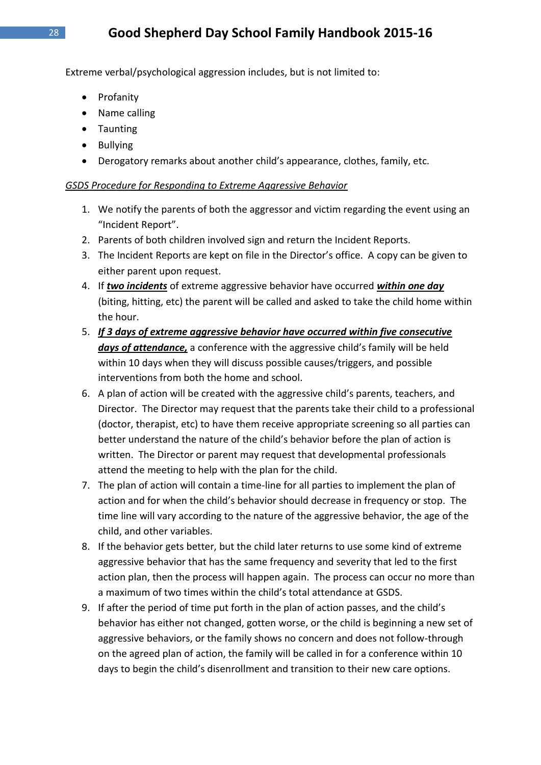Extreme verbal/psychological aggression includes, but is not limited to:

- Profanity
- Name calling
- Taunting
- Bullying
- Derogatory remarks about another child's appearance, clothes, family, etc.

#### *GSDS Procedure for Responding to Extreme Aggressive Behavior*

- 1. We notify the parents of both the aggressor and victim regarding the event using an "Incident Report".
- 2. Parents of both children involved sign and return the Incident Reports.
- 3. The Incident Reports are kept on file in the Director's office. A copy can be given to either parent upon request.
- 4. If *two incidents* of extreme aggressive behavior have occurred *within one day*  (biting, hitting, etc) the parent will be called and asked to take the child home within the hour.
- 5. *If 3 days of extreme aggressive behavior have occurred within five consecutive days of attendance,* a conference with the aggressive child's family will be held within 10 days when they will discuss possible causes/triggers, and possible interventions from both the home and school.
- 6. A plan of action will be created with the aggressive child's parents, teachers, and Director. The Director may request that the parents take their child to a professional (doctor, therapist, etc) to have them receive appropriate screening so all parties can better understand the nature of the child's behavior before the plan of action is written. The Director or parent may request that developmental professionals attend the meeting to help with the plan for the child.
- 7. The plan of action will contain a time-line for all parties to implement the plan of action and for when the child's behavior should decrease in frequency or stop. The time line will vary according to the nature of the aggressive behavior, the age of the child, and other variables.
- 8. If the behavior gets better, but the child later returns to use some kind of extreme aggressive behavior that has the same frequency and severity that led to the first action plan, then the process will happen again. The process can occur no more than a maximum of two times within the child's total attendance at GSDS.
- 9. If after the period of time put forth in the plan of action passes, and the child's behavior has either not changed, gotten worse, or the child is beginning a new set of aggressive behaviors, or the family shows no concern and does not follow-through on the agreed plan of action, the family will be called in for a conference within 10 days to begin the child's disenrollment and transition to their new care options.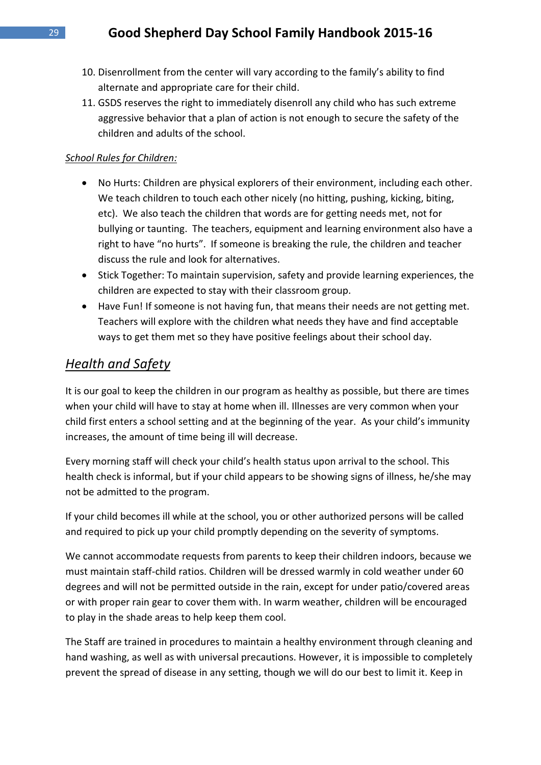- 10. Disenrollment from the center will vary according to the family's ability to find alternate and appropriate care for their child.
- 11. GSDS reserves the right to immediately disenroll any child who has such extreme aggressive behavior that a plan of action is not enough to secure the safety of the children and adults of the school.

#### *School Rules for Children:*

- No Hurts: Children are physical explorers of their environment, including each other. We teach children to touch each other nicely (no hitting, pushing, kicking, biting, etc). We also teach the children that words are for getting needs met, not for bullying or taunting. The teachers, equipment and learning environment also have a right to have "no hurts". If someone is breaking the rule, the children and teacher discuss the rule and look for alternatives.
- Stick Together: To maintain supervision, safety and provide learning experiences, the children are expected to stay with their classroom group.
- Have Fun! If someone is not having fun, that means their needs are not getting met. Teachers will explore with the children what needs they have and find acceptable ways to get them met so they have positive feelings about their school day.

#### *Health and Safety*

It is our goal to keep the children in our program as healthy as possible, but there are times when your child will have to stay at home when ill. Illnesses are very common when your child first enters a school setting and at the beginning of the year. As your child's immunity increases, the amount of time being ill will decrease.

Every morning staff will check your child's health status upon arrival to the school. This health check is informal, but if your child appears to be showing signs of illness, he/she may not be admitted to the program.

If your child becomes ill while at the school, you or other authorized persons will be called and required to pick up your child promptly depending on the severity of symptoms.

We cannot accommodate requests from parents to keep their children indoors, because we must maintain staff-child ratios. Children will be dressed warmly in cold weather under 60 degrees and will not be permitted outside in the rain, except for under patio/covered areas or with proper rain gear to cover them with. In warm weather, children will be encouraged to play in the shade areas to help keep them cool.

The Staff are trained in procedures to maintain a healthy environment through cleaning and hand washing, as well as with universal precautions. However, it is impossible to completely prevent the spread of disease in any setting, though we will do our best to limit it. Keep in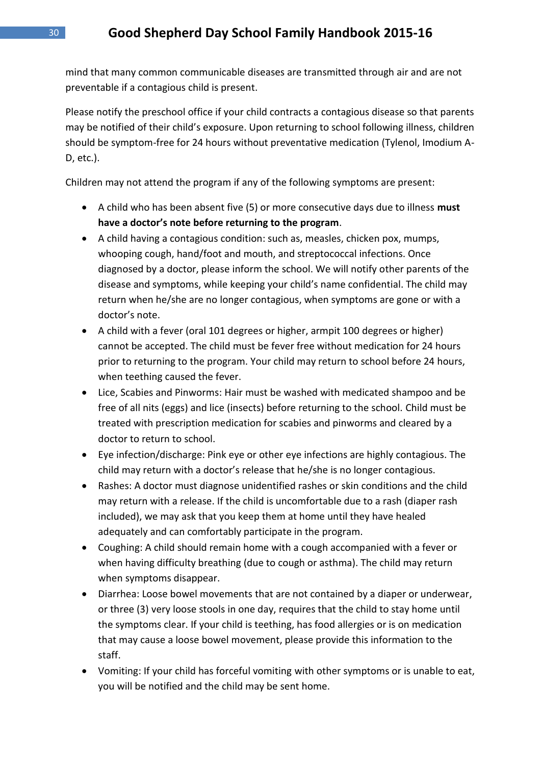mind that many common communicable diseases are transmitted through air and are not preventable if a contagious child is present.

Please notify the preschool office if your child contracts a contagious disease so that parents may be notified of their child's exposure. Upon returning to school following illness, children should be symptom-free for 24 hours without preventative medication (Tylenol, Imodium A-D, etc.).

Children may not attend the program if any of the following symptoms are present:

- A child who has been absent five (5) or more consecutive days due to illness **must have a doctor's note before returning to the program**.
- A child having a contagious condition: such as, measles, chicken pox, mumps, whooping cough, hand/foot and mouth, and streptococcal infections. Once diagnosed by a doctor, please inform the school. We will notify other parents of the disease and symptoms, while keeping your child's name confidential. The child may return when he/she are no longer contagious, when symptoms are gone or with a doctor's note.
- A child with a fever (oral 101 degrees or higher, armpit 100 degrees or higher) cannot be accepted. The child must be fever free without medication for 24 hours prior to returning to the program. Your child may return to school before 24 hours, when teething caused the fever.
- Lice, Scabies and Pinworms: Hair must be washed with medicated shampoo and be free of all nits (eggs) and lice (insects) before returning to the school. Child must be treated with prescription medication for scabies and pinworms and cleared by a doctor to return to school.
- Eye infection/discharge: Pink eye or other eye infections are highly contagious. The child may return with a doctor's release that he/she is no longer contagious.
- Rashes: A doctor must diagnose unidentified rashes or skin conditions and the child may return with a release. If the child is uncomfortable due to a rash (diaper rash included), we may ask that you keep them at home until they have healed adequately and can comfortably participate in the program.
- Coughing: A child should remain home with a cough accompanied with a fever or when having difficulty breathing (due to cough or asthma). The child may return when symptoms disappear.
- Diarrhea: Loose bowel movements that are not contained by a diaper or underwear, or three (3) very loose stools in one day, requires that the child to stay home until the symptoms clear. If your child is teething, has food allergies or is on medication that may cause a loose bowel movement, please provide this information to the staff.
- Vomiting: If your child has forceful vomiting with other symptoms or is unable to eat, you will be notified and the child may be sent home.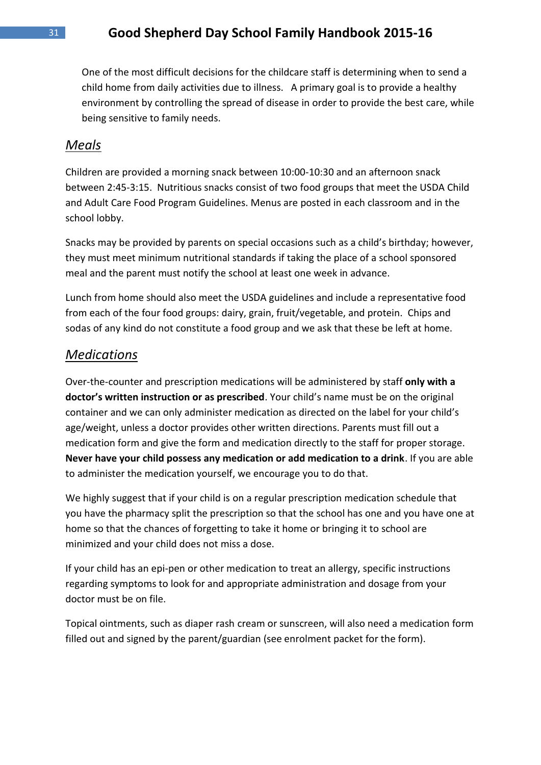One of the most difficult decisions for the childcare staff is determining when to send a child home from daily activities due to illness. A primary goal is to provide a healthy environment by controlling the spread of disease in order to provide the best care, while being sensitive to family needs.

#### *Meals*

Children are provided a morning snack between 10:00-10:30 and an afternoon snack between 2:45-3:15. Nutritious snacks consist of two food groups that meet the USDA Child and Adult Care Food Program Guidelines. Menus are posted in each classroom and in the school lobby.

Snacks may be provided by parents on special occasions such as a child's birthday; however, they must meet minimum nutritional standards if taking the place of a school sponsored meal and the parent must notify the school at least one week in advance.

Lunch from home should also meet the USDA guidelines and include a representative food from each of the four food groups: dairy, grain, fruit/vegetable, and protein. Chips and sodas of any kind do not constitute a food group and we ask that these be left at home.

#### *Medications*

Over-the-counter and prescription medications will be administered by staff **only with a doctor's written instruction or as prescribed**. Your child's name must be on the original container and we can only administer medication as directed on the label for your child's age/weight, unless a doctor provides other written directions. Parents must fill out a medication form and give the form and medication directly to the staff for proper storage. **Never have your child possess any medication or add medication to a drink**. If you are able to administer the medication yourself, we encourage you to do that.

We highly suggest that if your child is on a regular prescription medication schedule that you have the pharmacy split the prescription so that the school has one and you have one at home so that the chances of forgetting to take it home or bringing it to school are minimized and your child does not miss a dose.

If your child has an epi-pen or other medication to treat an allergy, specific instructions regarding symptoms to look for and appropriate administration and dosage from your doctor must be on file.

Topical ointments, such as diaper rash cream or sunscreen, will also need a medication form filled out and signed by the parent/guardian (see enrolment packet for the form).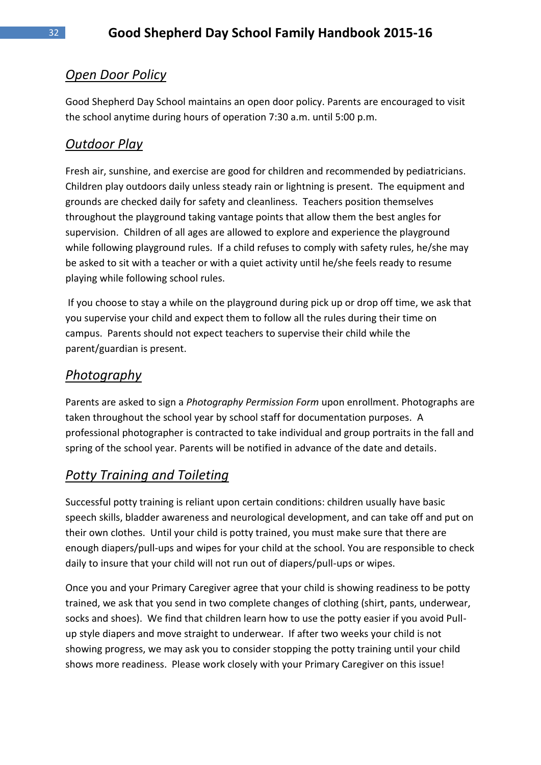# *Open Door Policy*

Good Shepherd Day School maintains an open door policy. Parents are encouraged to visit the school anytime during hours of operation 7:30 a.m. until 5:00 p.m.

# *Outdoor Play*

Fresh air, sunshine, and exercise are good for children and recommended by pediatricians. Children play outdoors daily unless steady rain or lightning is present. The equipment and grounds are checked daily for safety and cleanliness. Teachers position themselves throughout the playground taking vantage points that allow them the best angles for supervision. Children of all ages are allowed to explore and experience the playground while following playground rules. If a child refuses to comply with safety rules, he/she may be asked to sit with a teacher or with a quiet activity until he/she feels ready to resume playing while following school rules.

If you choose to stay a while on the playground during pick up or drop off time, we ask that you supervise your child and expect them to follow all the rules during their time on campus. Parents should not expect teachers to supervise their child while the parent/guardian is present.

# *Photography*

Parents are asked to sign a *Photography Permission Form* upon enrollment. Photographs are taken throughout the school year by school staff for documentation purposes. A professional photographer is contracted to take individual and group portraits in the fall and spring of the school year. Parents will be notified in advance of the date and details.

# *Potty Training and Toileting*

Successful potty training is reliant upon certain conditions: children usually have basic speech skills, bladder awareness and neurological development, and can take off and put on their own clothes. Until your child is potty trained, you must make sure that there are enough diapers/pull-ups and wipes for your child at the school. You are responsible to check daily to insure that your child will not run out of diapers/pull-ups or wipes.

Once you and your Primary Caregiver agree that your child is showing readiness to be potty trained, we ask that you send in two complete changes of clothing (shirt, pants, underwear, socks and shoes). We find that children learn how to use the potty easier if you avoid Pullup style diapers and move straight to underwear. If after two weeks your child is not showing progress, we may ask you to consider stopping the potty training until your child shows more readiness. Please work closely with your Primary Caregiver on this issue!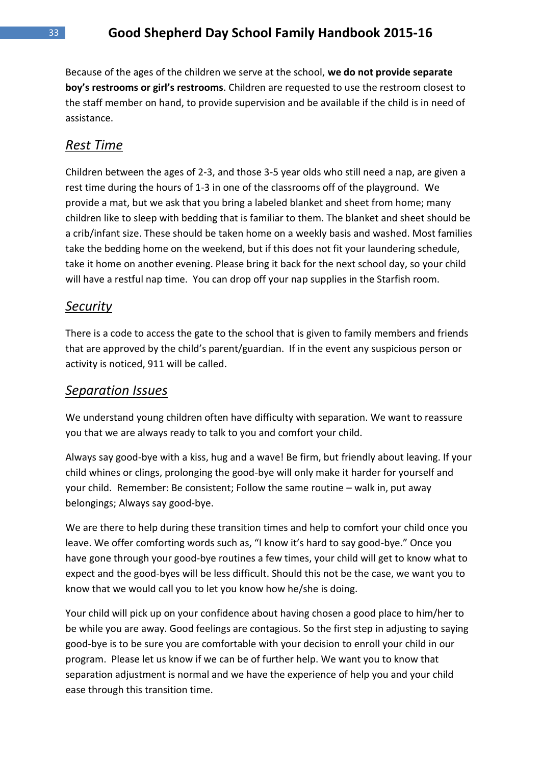Because of the ages of the children we serve at the school, **we do not provide separate boy's restrooms or girl's restrooms**. Children are requested to use the restroom closest to the staff member on hand, to provide supervision and be available if the child is in need of assistance.

#### *Rest Time*

Children between the ages of 2-3, and those 3-5 year olds who still need a nap, are given a rest time during the hours of 1-3 in one of the classrooms off of the playground. We provide a mat, but we ask that you bring a labeled blanket and sheet from home; many children like to sleep with bedding that is familiar to them. The blanket and sheet should be a crib/infant size. These should be taken home on a weekly basis and washed. Most families take the bedding home on the weekend, but if this does not fit your laundering schedule, take it home on another evening. Please bring it back for the next school day, so your child will have a restful nap time. You can drop off your nap supplies in the Starfish room.

#### *Security*

There is a code to access the gate to the school that is given to family members and friends that are approved by the child's parent/guardian. If in the event any suspicious person or activity is noticed, 911 will be called.

#### *Separation Issues*

We understand young children often have difficulty with separation. We want to reassure you that we are always ready to talk to you and comfort your child.

Always say good-bye with a kiss, hug and a wave! Be firm, but friendly about leaving. If your child whines or clings, prolonging the good-bye will only make it harder for yourself and your child. Remember: Be consistent; Follow the same routine – walk in, put away belongings; Always say good-bye.

We are there to help during these transition times and help to comfort your child once you leave. We offer comforting words such as, "I know it's hard to say good-bye." Once you have gone through your good-bye routines a few times, your child will get to know what to expect and the good-byes will be less difficult. Should this not be the case, we want you to know that we would call you to let you know how he/she is doing.

Your child will pick up on your confidence about having chosen a good place to him/her to be while you are away. Good feelings are contagious. So the first step in adjusting to saying good-bye is to be sure you are comfortable with your decision to enroll your child in our program. Please let us know if we can be of further help. We want you to know that separation adjustment is normal and we have the experience of help you and your child ease through this transition time.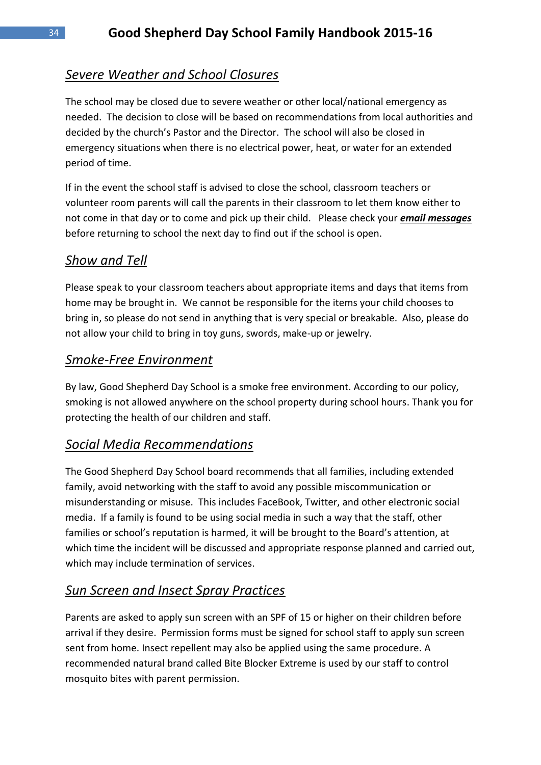# *Severe Weather and School Closures*

The school may be closed due to severe weather or other local/national emergency as needed. The decision to close will be based on recommendations from local authorities and decided by the church's Pastor and the Director. The school will also be closed in emergency situations when there is no electrical power, heat, or water for an extended period of time.

If in the event the school staff is advised to close the school, classroom teachers or volunteer room parents will call the parents in their classroom to let them know either to not come in that day or to come and pick up their child. Please check your *email messages* before returning to school the next day to find out if the school is open.

# *Show and Tell*

Please speak to your classroom teachers about appropriate items and days that items from home may be brought in. We cannot be responsible for the items your child chooses to bring in, so please do not send in anything that is very special or breakable. Also, please do not allow your child to bring in toy guns, swords, make-up or jewelry.

# *Smoke-Free Environment*

By law, Good Shepherd Day School is a smoke free environment. According to our policy, smoking is not allowed anywhere on the school property during school hours. Thank you for protecting the health of our children and staff.

# *Social Media Recommendations*

The Good Shepherd Day School board recommends that all families, including extended family, avoid networking with the staff to avoid any possible miscommunication or misunderstanding or misuse. This includes FaceBook, Twitter, and other electronic social media. If a family is found to be using social media in such a way that the staff, other families or school's reputation is harmed, it will be brought to the Board's attention, at which time the incident will be discussed and appropriate response planned and carried out, which may include termination of services.

# *Sun Screen and Insect Spray Practices*

Parents are asked to apply sun screen with an SPF of 15 or higher on their children before arrival if they desire. Permission forms must be signed for school staff to apply sun screen sent from home. Insect repellent may also be applied using the same procedure. A recommended natural brand called Bite Blocker Extreme is used by our staff to control mosquito bites with parent permission.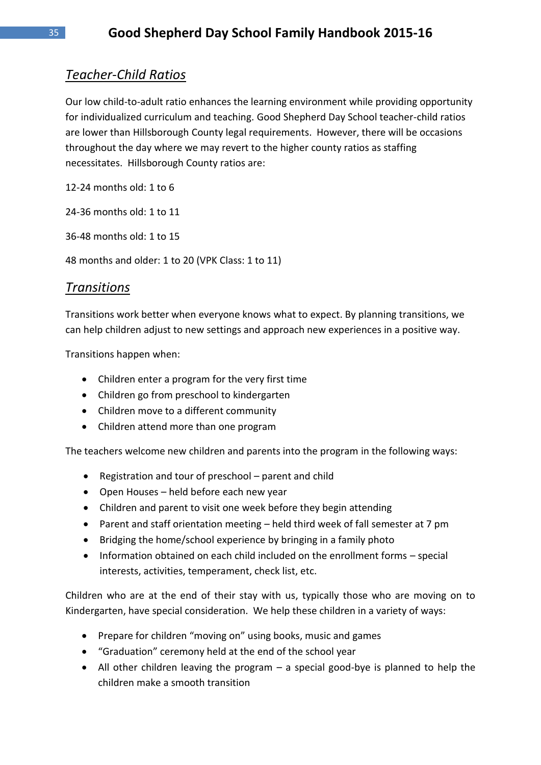# *Teacher-Child Ratios*

Our low child-to-adult ratio enhances the learning environment while providing opportunity for individualized curriculum and teaching. Good Shepherd Day School teacher-child ratios are lower than Hillsborough County legal requirements. However, there will be occasions throughout the day where we may revert to the higher county ratios as staffing necessitates. Hillsborough County ratios are:

12-24 months old: 1 to 6

24-36 months old: 1 to 11

36-48 months old: 1 to 15

48 months and older: 1 to 20 (VPK Class: 1 to 11)

#### *Transitions*

Transitions work better when everyone knows what to expect. By planning transitions, we can help children adjust to new settings and approach new experiences in a positive way.

Transitions happen when:

- Children enter a program for the very first time
- Children go from preschool to kindergarten
- Children move to a different community
- Children attend more than one program

The teachers welcome new children and parents into the program in the following ways:

- Registration and tour of preschool parent and child
- Open Houses held before each new year
- Children and parent to visit one week before they begin attending
- Parent and staff orientation meeting held third week of fall semester at 7 pm
- Bridging the home/school experience by bringing in a family photo
- Information obtained on each child included on the enrollment forms special interests, activities, temperament, check list, etc.

Children who are at the end of their stay with us, typically those who are moving on to Kindergarten, have special consideration. We help these children in a variety of ways:

- Prepare for children "moving on" using books, music and games
- "Graduation" ceremony held at the end of the school year
- All other children leaving the program a special good-bye is planned to help the children make a smooth transition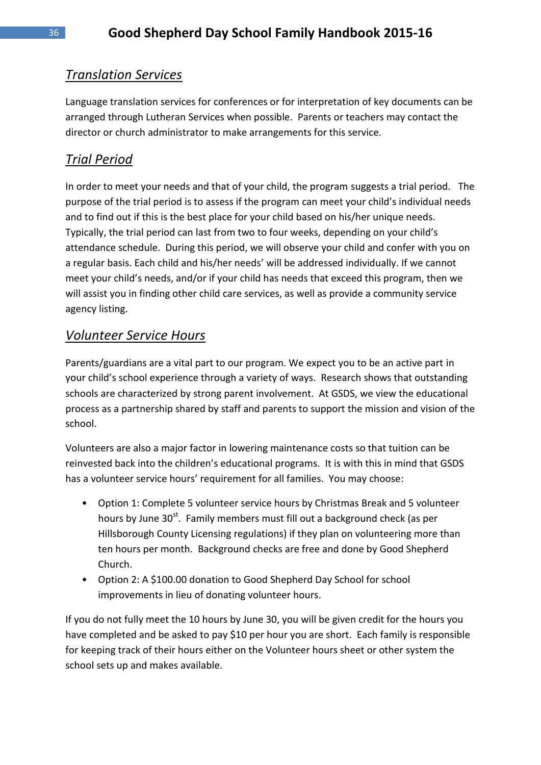# *Translation Services*

Language translation services for conferences or for interpretation of key documents can be arranged through Lutheran Services when possible. Parents or teachers may contact the director or church administrator to make arrangements for this service.

# *Trial Period*

In order to meet your needs and that of your child, the program suggests a trial period. The purpose of the trial period is to assess if the program can meet your child's individual needs and to find out if this is the best place for your child based on his/her unique needs. Typically, the trial period can last from two to four weeks, depending on your child's attendance schedule. During this period, we will observe your child and confer with you on a regular basis. Each child and his/her needs' will be addressed individually. If we cannot meet your child's needs, and/or if your child has needs that exceed this program, then we will assist you in finding other child care services, as well as provide a community service agency listing.

# *Volunteer Service Hours*

Parents/guardians are a vital part to our program. We expect you to be an active part in your child's school experience through a variety of ways. Research shows that outstanding schools are characterized by strong parent involvement. At GSDS, we view the educational process as a partnership shared by staff and parents to support the mission and vision of the school.

Volunteers are also a major factor in lowering maintenance costs so that tuition can be reinvested back into the children's educational programs. It is with this in mind that GSDS has a volunteer service hours' requirement for all families. You may choose:

- Option 1: Complete 5 volunteer service hours by Christmas Break and 5 volunteer hours by June 30<sup>st</sup>. Family members must fill out a background check (as per Hillsborough County Licensing regulations) if they plan on volunteering more than ten hours per month. Background checks are free and done by Good Shepherd Church.
- Option 2: A \$100.00 donation to Good Shepherd Day School for school improvements in lieu of donating volunteer hours.

If you do not fully meet the 10 hours by June 30, you will be given credit for the hours you have completed and be asked to pay \$10 per hour you are short. Each family is responsible for keeping track of their hours either on the Volunteer hours sheet or other system the school sets up and makes available.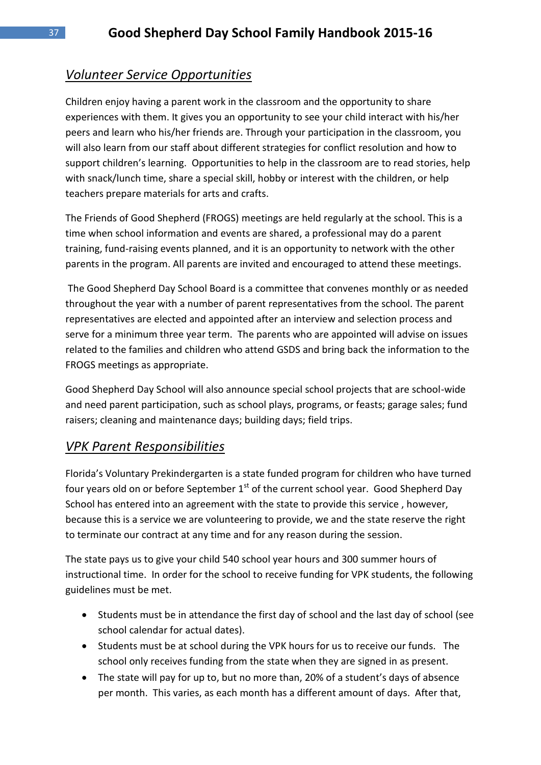# *Volunteer Service Opportunities*

Children enjoy having a parent work in the classroom and the opportunity to share experiences with them. It gives you an opportunity to see your child interact with his/her peers and learn who his/her friends are. Through your participation in the classroom, you will also learn from our staff about different strategies for conflict resolution and how to support children's learning. Opportunities to help in the classroom are to read stories, help with snack/lunch time, share a special skill, hobby or interest with the children, or help teachers prepare materials for arts and crafts.

The Friends of Good Shepherd (FROGS) meetings are held regularly at the school. This is a time when school information and events are shared, a professional may do a parent training, fund-raising events planned, and it is an opportunity to network with the other parents in the program. All parents are invited and encouraged to attend these meetings.

The Good Shepherd Day School Board is a committee that convenes monthly or as needed throughout the year with a number of parent representatives from the school. The parent representatives are elected and appointed after an interview and selection process and serve for a minimum three year term. The parents who are appointed will advise on issues related to the families and children who attend GSDS and bring back the information to the FROGS meetings as appropriate.

Good Shepherd Day School will also announce special school projects that are school-wide and need parent participation, such as school plays, programs, or feasts; garage sales; fund raisers; cleaning and maintenance days; building days; field trips.

#### *VPK Parent Responsibilities*

Florida's Voluntary Prekindergarten is a state funded program for children who have turned four years old on or before September  $1<sup>st</sup>$  of the current school year. Good Shepherd Day School has entered into an agreement with the state to provide this service , however, because this is a service we are volunteering to provide, we and the state reserve the right to terminate our contract at any time and for any reason during the session.

The state pays us to give your child 540 school year hours and 300 summer hours of instructional time. In order for the school to receive funding for VPK students, the following guidelines must be met.

- Students must be in attendance the first day of school and the last day of school (see school calendar for actual dates).
- Students must be at school during the VPK hours for us to receive our funds. The school only receives funding from the state when they are signed in as present.
- The state will pay for up to, but no more than, 20% of a student's days of absence per month. This varies, as each month has a different amount of days. After that,